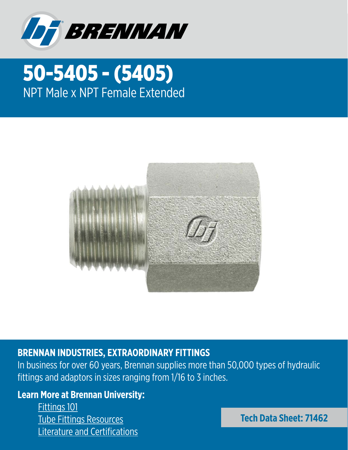

## 50-5405 - (5405) NPT Male x NPT Female Extended



## **BRENNAN INDUSTRIES, EXTRAORDINARY FITTINGS**

In business for over 60 years, Brennan supplies more than 50,000 types of hydraulic fittings and adaptors in sizes ranging from 1/16 to 3 inches.

## **Learn More at Brennan University:**

[Fittings 101](https://brennaninc.com/brennan-university-old/fitting-identification-introduction/) [Tube Fittings Resources](https://brennaninc.com/essential-tube-fittings-content/) [Literature and Certifications](https://brennaninc.com/literature/)

**Tech Data Sheet: 71462**